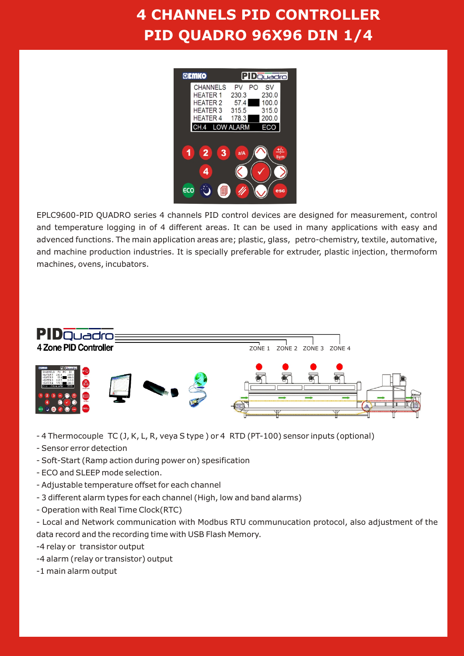# **4 CHANNELS PID CONTROLLER PID QUADRO 96X96 DIN 1/4**



EPLC9600-PID QUADRO series 4 channels PID control devices are designed for measurement, control and temperature logging in of 4 different areas. It can be used in many applications with easy and advenced functions. The main application areas are; plastic, glass, petro-chemistry, textile, automative, and machine production industries. It is specially preferable for extruder, plastic injection, thermoform machines, ovens, incubators.



- 4 Thermocouple TC (J, K, L, R, veya S type ) or 4 RTD (PT-100) sensor inputs (optional)
- Sensor error detection
- Soft-Start (Ramp action during power on) spesification
- ECO and SLEEP mode selection.
- Adjustable temperature offset for each channel
- 3 different alarm types for each channel (High, low and band alarms)
- Operation with Real Time Clock(RTC)

- Local and Network communication with Modbus RTU communucation protocol, also adjustment of the data record and the recording time with USB Flash Memory.

-4 relay or transistor output

- -4 alarm (relay or transistor) output
- -1 main alarm output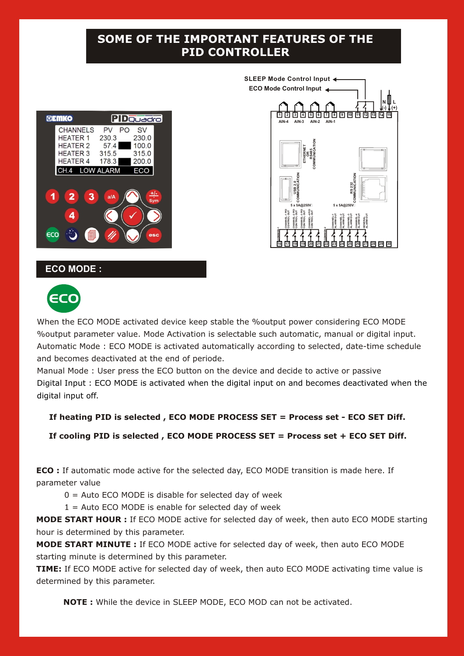## **SOME OF THE IMPORTANT FEATURES OF THE PID CONTROLLER**

| GEMKO                                                                                       | PIDQuadro                                                                                    |  |  |
|---------------------------------------------------------------------------------------------|----------------------------------------------------------------------------------------------|--|--|
| <b>CHANNELS</b><br><b>HEATER 1</b><br><b>HEATER 2</b><br><b>HEATER 3</b><br><b>HEATER 4</b> | PO<br><b>SV</b><br>PV<br>230.0<br>230.3<br>100.0<br>57.4<br>315.0<br>315.5<br>200.0<br>178.3 |  |  |
| CH.4                                                                                        | <b>LOW ALARM</b><br>ECO                                                                      |  |  |
| $\overline{2}$<br>3<br>1                                                                    | <u>+/-</u><br>a/A<br>Sym                                                                     |  |  |
| 4                                                                                           |                                                                                              |  |  |
| ECO                                                                                         | esc                                                                                          |  |  |



#### **ECO MODE :**



When the ECO MODE activated device keep stable the %output power considering ECO MODE %output parameter value. Mode Activation is selectable such automatic, manual or digital input. Automatic Mode : ECO MODE is activated automatically according to selected, date-time schedule and becomes deactivated at the end of periode.

Manual Mode : User press the ECO button on the device and decide to active or passive Digital Input : ECO MODE is activated when the digital input on and becomes deactivated when the digital input off.

#### **If heating PID is selected , ECO MODE PROCESS SET = Process set - ECO SET Diff.**

 **If cooling PID is selected , ECO MODE PROCESS SET = Process set + ECO SET Diff.**

**ECO :** If automatic mode active for the selected day, ECO MODE transition is made here. If parameter value

 $0 =$  Auto ECO MODE is disable for selected day of week

 $1 =$  Auto ECO MODE is enable for selected day of week

**MODE START HOUR :** If ECO MODE active for selected day of week, then auto ECO MODE starting hour is determined by this parameter.

**MODE START MINUTE :** If ECO MODE active for selected day of week, then auto ECO MODE starting minute is determined by this parameter.

**TIME:** If ECO MODE active for selected day of week, then auto ECO MODE activating time value is determined by this parameter.

**NOTE :** While the device in SLEEP MODE, ECO MOD can not be activated.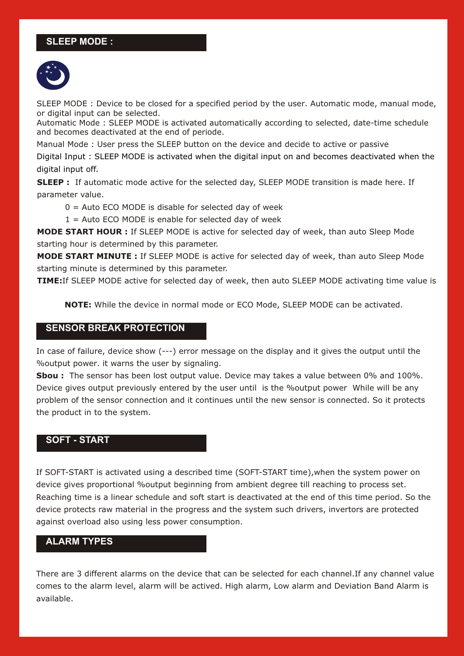### **SLEEP MODE :**



SLEEP MODE : Device to be closed for a specified period by the user. Automatic mode, manual mode, or digital input can be selected.

Automatic Mode : SLEEP MODE is activated automatically according to selected, date-time schedule and becomes deactivated at the end of periode.

Manual Mode : User press the SLEEP button on the device and decide to active or passive

Digital Input : SLEEP MODE is activated when the digital input on and becomes deactivated when the digital input off.

**SLEEP :** If automatic mode active for the selected day, SLEEP MODE transition is made here. If parameter value.

 $0 =$  Auto ECO MODE is disable for selected day of week

 $1 =$  Auto ECO MODE is enable for selected day of week

**MODE START HOUR :** If SLEEP MODE is active for selected day of week, than auto Sleep Mode starting hour is determined by this parameter.

**MODE START MINUTE :** If SLEEP MODE is active for selected day of week, than auto Sleep Mode starting minute is determined by this parameter.

**TIME:**If SLEEP MODE active for selected day of week, then auto SLEEP MODE activating time value is

**NOTE:** While the device in normal mode or ECO Mode, SLEEP MODE can be activated.

#### **SENSOR BREAK PROTECTION**

In case of failure, device show (---) error message on the display and it gives the output until the %output power. it warns the user by signaling.

**Sbou :** The sensor has been lost output value. Device may takes a value between 0% and 100%. Device gives output previously entered by the user until is the %output power While will be any problem of the sensor connection and it continues until the new sensor is connected. So it protects the product in to the system.

#### **SOFT - START**

If SOFT-START is activated using a described time (SOFT-START time),when the system power on device gives proportional %output beginning from ambient degree till reaching to process set. Reaching time is a linear schedule and soft start is deactivated at the end of this time period. So the device protects raw material in the progress and the system such drivers, invertors are protected against overload also using less power consumption.

#### **ALARM TYPES**

There are 3 different alarms on the device that can be selected for each channel.If any channel value comes to the alarm level, alarm will be actived. High alarm, Low alarm and Deviation Band Alarm is available.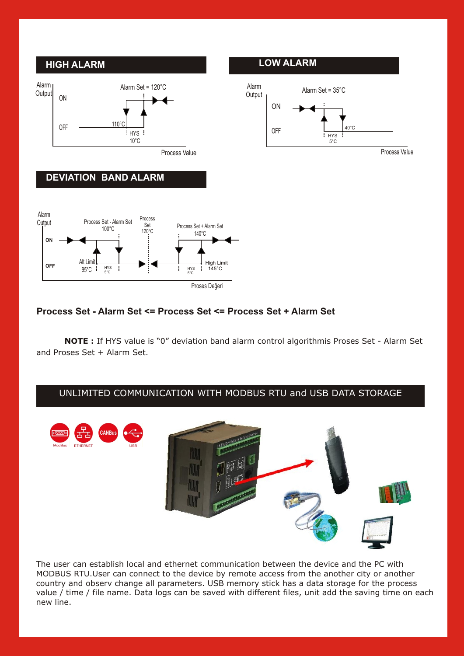

#### **Process Set - Alarm Set <= Process Set <= Process Set + Alarm Set**

**NOTE :** If HYS value is "0" deviation band alarm control algorithmis Proses Set - Alarm Set and Proses Set + Alarm Set.

#### UNLIMITED COMMUNICATION WITH MODBUS RTU and USB DATA STORAGE



The user can establish local and ethernet communication between the device and the PC with MODBUS RTU.User can connect to the device by remote access from the another city or another country and observ change all parameters. USB memory stick has a data storage for the process value / time / file name. Data logs can be saved with different files, unit add the saving time on each new line.